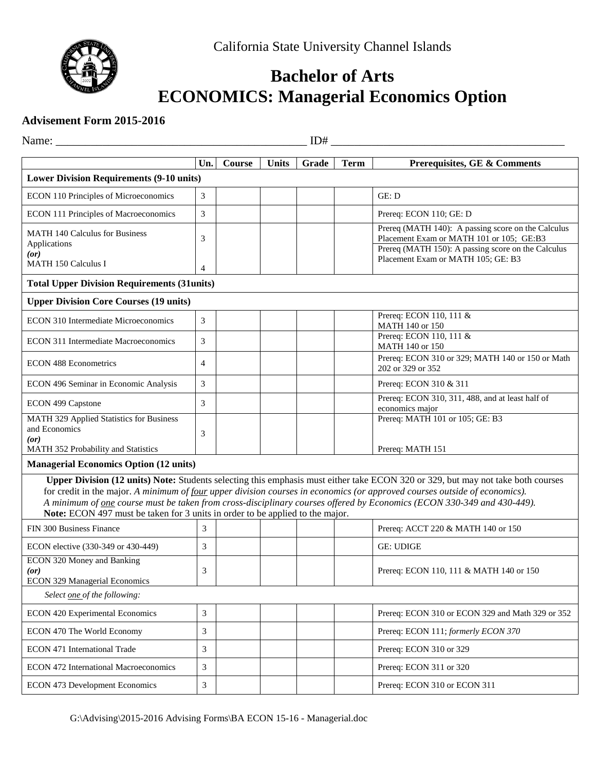

## **Bachelor of Arts ECONOMICS: Managerial Economics Option**

## **Advisement Form 2015-2016**

| ID#<br>Name:                                                                  |                |        |              |       |             |                                                                                                                                                                                                                                                                                                                                                                                          |  |
|-------------------------------------------------------------------------------|----------------|--------|--------------|-------|-------------|------------------------------------------------------------------------------------------------------------------------------------------------------------------------------------------------------------------------------------------------------------------------------------------------------------------------------------------------------------------------------------------|--|
|                                                                               | Un.            | Course | <b>Units</b> | Grade | <b>Term</b> | Prerequisites, GE & Comments                                                                                                                                                                                                                                                                                                                                                             |  |
| <b>Lower Division Requirements (9-10 units)</b>                               |                |        |              |       |             |                                                                                                                                                                                                                                                                                                                                                                                          |  |
| ECON 110 Principles of Microeconomics                                         | 3              |        |              |       |             | GE: D                                                                                                                                                                                                                                                                                                                                                                                    |  |
| ECON 111 Principles of Macroeconomics                                         | 3              |        |              |       |             | Prereq: ECON 110; GE: D                                                                                                                                                                                                                                                                                                                                                                  |  |
| <b>MATH 140 Calculus for Business</b><br>Applications                         | 3              |        |              |       |             | Prereq (MATH 140): A passing score on the Calculus<br>Placement Exam or MATH 101 or 105; GE:B3                                                                                                                                                                                                                                                                                           |  |
| (or)<br>MATH 150 Calculus I                                                   | 4              |        |              |       |             | Prereq (MATH 150): A passing score on the Calculus<br>Placement Exam or MATH 105; GE: B3                                                                                                                                                                                                                                                                                                 |  |
| <b>Total Upper Division Requirements (31units)</b>                            |                |        |              |       |             |                                                                                                                                                                                                                                                                                                                                                                                          |  |
| <b>Upper Division Core Courses (19 units)</b>                                 |                |        |              |       |             |                                                                                                                                                                                                                                                                                                                                                                                          |  |
| ECON 310 Intermediate Microeconomics                                          | 3              |        |              |       |             | Prereq: ECON 110, 111 &<br>MATH 140 or 150                                                                                                                                                                                                                                                                                                                                               |  |
| ECON 311 Intermediate Macroeconomics                                          | 3              |        |              |       |             | Prereq: ECON 110, 111 &<br>MATH 140 or 150                                                                                                                                                                                                                                                                                                                                               |  |
| <b>ECON 488 Econometrics</b>                                                  | 4              |        |              |       |             | Prereq: ECON 310 or 329; MATH 140 or 150 or Math<br>202 or 329 or 352                                                                                                                                                                                                                                                                                                                    |  |
| ECON 496 Seminar in Economic Analysis                                         | 3              |        |              |       |             | Prereq: ECON 310 & 311                                                                                                                                                                                                                                                                                                                                                                   |  |
| ECON 499 Capstone                                                             | 3              |        |              |       |             | Prereq: ECON 310, 311, 488, and at least half of<br>economics major                                                                                                                                                                                                                                                                                                                      |  |
| MATH 329 Applied Statistics for Business<br>and Economics<br>(or)             | 3              |        |              |       |             | Prereq: MATH 101 or 105; GE: B3                                                                                                                                                                                                                                                                                                                                                          |  |
| MATH 352 Probability and Statistics                                           |                |        |              |       |             | Prereq: MATH 151                                                                                                                                                                                                                                                                                                                                                                         |  |
| <b>Managerial Economics Option (12 units)</b>                                 |                |        |              |       |             |                                                                                                                                                                                                                                                                                                                                                                                          |  |
| Note: ECON 497 must be taken for 3 units in order to be applied to the major. |                |        |              |       |             | Upper Division (12 units) Note: Students selecting this emphasis must either take ECON 320 or 329, but may not take both courses<br>for credit in the major. A minimum of four upper division courses in economics (or approved courses outside of economics).<br>A minimum of one course must be taken from cross-disciplinary courses offered by Economics (ECON 330-349 and 430-449). |  |
| FIN 300 Business Finance                                                      | 3              |        |              |       |             | Prereq: ACCT 220 & MATH 140 or 150                                                                                                                                                                                                                                                                                                                                                       |  |
| ECON elective (330-349 or 430-449)                                            | 3              |        |              |       |             | <b>GE: UDIGE</b>                                                                                                                                                                                                                                                                                                                                                                         |  |
| ECON 320 Money and Banking<br>(<br><b>ECON 329 Managerial Economics</b>       | 3              |        |              |       |             | Prereq: ECON 110, 111 & MATH 140 or 150                                                                                                                                                                                                                                                                                                                                                  |  |
| Select one of the following:                                                  |                |        |              |       |             |                                                                                                                                                                                                                                                                                                                                                                                          |  |
| ECON 420 Experimental Economics                                               | 3              |        |              |       |             | Prereq: ECON 310 or ECON 329 and Math 329 or 352                                                                                                                                                                                                                                                                                                                                         |  |
| ECON 470 The World Economy                                                    | 3              |        |              |       |             | Prereq: ECON 111; formerly ECON 370                                                                                                                                                                                                                                                                                                                                                      |  |
| ECON 471 International Trade                                                  | 3              |        |              |       |             | Prereq: ECON 310 or 329                                                                                                                                                                                                                                                                                                                                                                  |  |
| ECON 472 International Macroeconomics                                         | 3              |        |              |       |             | Prereq: ECON 311 or 320                                                                                                                                                                                                                                                                                                                                                                  |  |
| <b>ECON 473 Development Economics</b>                                         | $\mathfrak{Z}$ |        |              |       |             | Prereq: ECON 310 or ECON 311                                                                                                                                                                                                                                                                                                                                                             |  |